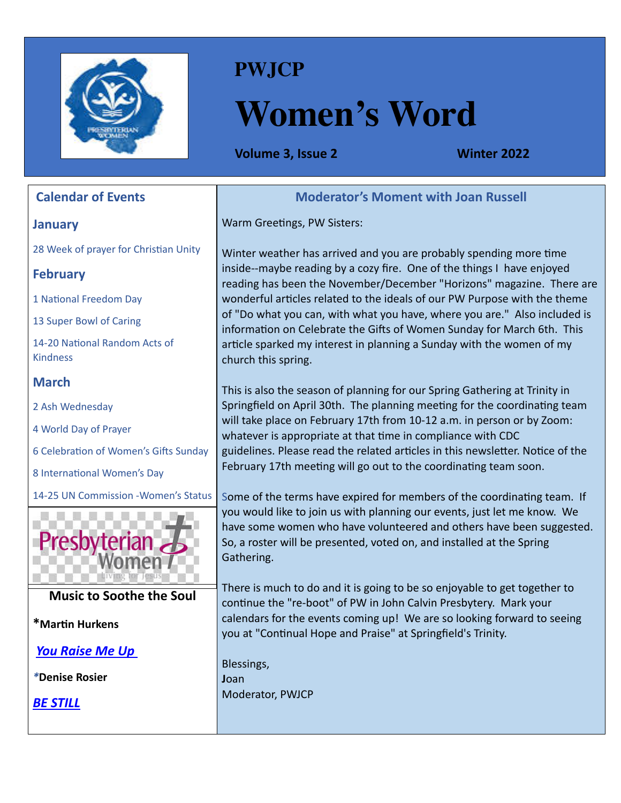

## **PWJCP**

# **Women's Word**

**Volume 3, Issue 2 Winter 2022** 

| <b>Calendar of Events</b>                        | <b>Moderator's Moment with Joan Russell</b>                                                                                                                                                                                             |
|--------------------------------------------------|-----------------------------------------------------------------------------------------------------------------------------------------------------------------------------------------------------------------------------------------|
| <b>January</b>                                   | Warm Greetings, PW Sisters:                                                                                                                                                                                                             |
| 28 Week of prayer for Christian Unity            | Winter weather has arrived and you are probably spending more time                                                                                                                                                                      |
| <b>February</b>                                  | inside--maybe reading by a cozy fire. One of the things I have enjoyed<br>reading has been the November/December "Horizons" magazine. There are                                                                                         |
| 1 National Freedom Day                           | wonderful articles related to the ideals of our PW Purpose with the theme                                                                                                                                                               |
| 13 Super Bowl of Caring                          | of "Do what you can, with what you have, where you are." Also included is<br>information on Celebrate the Gifts of Women Sunday for March 6th. This                                                                                     |
| 14-20 National Random Acts of<br><b>Kindness</b> | article sparked my interest in planning a Sunday with the women of my<br>church this spring.                                                                                                                                            |
| <b>March</b>                                     | This is also the season of planning for our Spring Gathering at Trinity in                                                                                                                                                              |
| 2 Ash Wednesday                                  | Springfield on April 30th. The planning meeting for the coordinating team                                                                                                                                                               |
| 4 World Day of Prayer                            | will take place on February 17th from 10-12 a.m. in person or by Zoom:<br>whatever is appropriate at that time in compliance with CDC                                                                                                   |
| 6 Celebration of Women's Gifts Sunday            | guidelines. Please read the related articles in this newsletter. Notice of the                                                                                                                                                          |
| 8 International Women's Day                      | February 17th meeting will go out to the coordinating team soon.                                                                                                                                                                        |
| 14-25 UN Commission - Women's Status             | Some of the terms have expired for members of the coordinating team. If                                                                                                                                                                 |
| resbyteriar                                      | you would like to join us with planning our events, just let me know. We<br>have some women who have volunteered and others have been suggested.<br>So, a roster will be presented, voted on, and installed at the Spring<br>Gathering. |
| <b>Music to Soothe the Soul</b>                  | There is much to do and it is going to be so enjoyable to get together to<br>continue the "re-boot" of PW in John Calvin Presbytery. Mark your                                                                                          |
| *Martin Hurkens                                  | calendars for the events coming up! We are so looking forward to seeing<br>you at "Continual Hope and Praise" at Springfield's Trinity.                                                                                                 |
| <b>You Raise Me Up</b>                           |                                                                                                                                                                                                                                         |
| *Denise Rosier                                   | Blessings,<br>Joan                                                                                                                                                                                                                      |
| <b>BE STILL</b>                                  | Moderator, PWJCP                                                                                                                                                                                                                        |